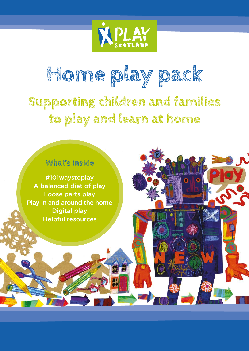

# **Supporting children and families to play and learn at home Home play pack**

## **What's inside**

#101waystoplay A balanced diet of play Loose parts play Play in and around the home Digital play Helpful resources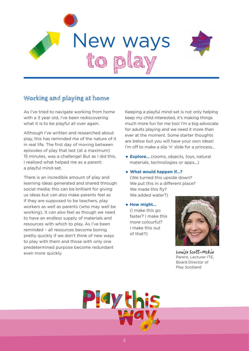



## **Working and playing at home**

As I've tried to navigate working from home with a 3 year old, I've been rediscovering what it is to be playful all over again.

Although I've written and researched about play, this has reminded me of the nature of it in real life. The first day of moving between episodes of play that last (at a maximum) 15 minutes, was a challenge! But as I did this, I realised what helped me as a parent: a playful mind-set.

There is an incredible amount of play and learning ideas generated and shared through social media; this can be brilliant for giving us ideas but can also make parents feel as if they are supposed to be teachers, play workers as well as parents (who may well be working). It can also feel as though we need to have an endless supply of materials and resources with which to play. As I've been reminded – all resources become boring pretty quickly if we don't think of new ways to play with them and those with only one predetermined purpose become redundant even more quickly.

Keeping a playful mind-set is not only helping keep my child interested, it's making things much more fun for me too! I'm a big advocate for adults playing and we need it more than ever at the moment. Some starter thoughts are below but you will have your own ideas! I'm off to make a slip 'n' slide for a princess…

- **Explore…** (rooms, objects, toys, natural materials, technologies or apps…)
- **What would happen if…?** (We turned this upside down? We put this in a different place? We made this fly? We added water?)
- **How might...** (I make this go faster? I make this more colourful? I make this out of that?)



Louise Scott-Mckie Parent, Lecturer ITE, Board Director of Play Scotland

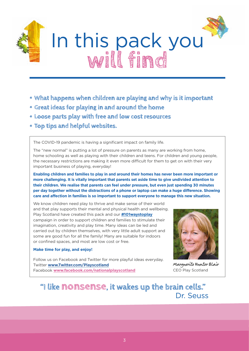

- **• What happens when children are playing and why is it important**
- **• Great ideas for playing in and around the home**
- **• Loose parts play with free and low cost resources**
- **• Top tips and helpful websites.**

The COVID-19 pandemic is having a significant impact on family life.

The "new normal" is putting a lot of pressure on parents as many are working from home, home schooling as well as playing with their children and teens. For children and young people, the necessary restrictions are making it even more difficult for them to get on with their very important business of playing, everyday!

**Enabling children and families to play in and around their homes has never been more important or more challenging. It is vitally important that parents set aside time to give undivided attention to their children. We realise that parents can feel under pressure, but even just spending 30 minutes per day together without the distractions of a phone or laptop can make a huge difference. Showing care and affection in families is so important to support everyone to manage this new situation.**

We know children need play to thrive and make sense of their world and that play supports their mental and physical health and wellbeing. Play Scotland have created this pack and our **#101waystoplay** campaign in order to support children and families to stimulate their imagination, creativity and play time. Many ideas can be led and carried out by children themselves, with very little adult support and some are good fun for all the family! Many are suitable for indoors or confined spaces, and most are low cost or free.

## **Make time for play, and enjoy!**

Follow us on Facebook and Twitter for more playful ideas everyday. Twitter **[www.Twitter.com/Playscotland](http://www.Twitter.com/Playscotland)** Facebook **[www.facebook.com/nationalplayscotland](http://www.facebook.com/nationalplayscotland)**



Marguerite Hunter Blair CEO Play Scotland

## **"I like nonsense, it wakes up the brain cells."**  Dr. Seuss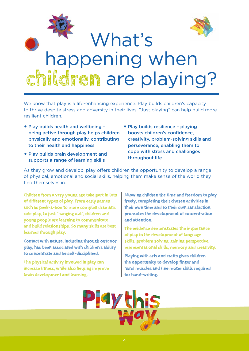

We know that play is a life-enhancing experience. Play builds children's capacity to thrive despite stress and adversity in their lives. "Just playing" can help build more resilient children.

- Play builds health and wellbeing being active through play helps children physically and emotionally, contributing to their health and happiness
- Play builds brain development and supports a range of learning skills
- Play builds resilience playing boosts children's confidence, creativity, problem-solving skills and perseverance, enabling them to cope with stress and challenges throughout life.

As they grow and develop, play offers children the opportunity to develop a range of physical, emotional and social skills, helping them make sense of the world they find themselves in.

**Children from a very young age take part in lots of different types of play. From early games such as peek-a-boo to more complex dramatic role play, to just "hanging out", children and young people are learning to communicate and build relationships. So many skills are best learned through play.**

**Contact with nature, including through outdoor play, has been associated with children's ability to concentrate and be self-disciplined.**

**The physical activity involved in play can increase fitness, while also helping improve brain development and learning.**

**Allowing children the time and freedom to play freely, completing their chosen activities in their own time and to their own satisfaction, promotes the development of concentration and attention.**

**The evidence demonstrates the importance of play in the development of language skills, problem solving, gaining perspective, representational skills, memory and creativity.**

**Playing with arts and crafts gives children the opportunity to develop finger and hand muscles and fine motor skills required for hand-writing.**

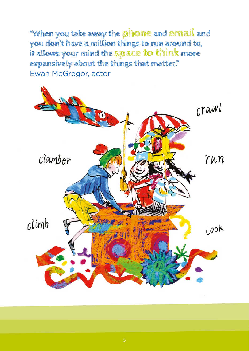**"When you take away the phone and email and you don't have a million things to run around to, it allows your mind the space to think more expansively about the things that matter."**  Ewan McGregor, actor

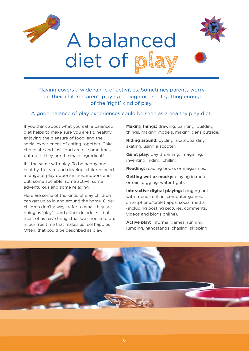

## Playing covers a wide range of activities. Sometimes parents worry that their children aren't playing enough or aren't getting enough of the 'right' kind of play.

A good balance of play experiences could be seen as a healthy play diet.

If you think about what you eat, a balanced diet helps to make sure you are fit, healthy, enjoying the pleasure of food, and the social experiences of eating together. Cake, chocolate and fast food are ok sometimes but not if they are the main ingredient!

It's the same with play. To be happy and healthy, to learn and develop, children need a range of play opportunities, indoors and out, some sociable, some active, some adventurous and some relaxing.

Here are some of the kinds of play children can get up to in and around the home. Older children don't always refer to what they are doing as 'play' – and either do adults – but most of us have things that we choose to do, in our free time that makes us feel happier. Often, that could be described as play.

**Making things:** drawing, painting, building things, making models, making dens outside.

**Riding around:** cycling, skateboarding, skating, using a scooter.

**Quiet play:** day dreaming, imagining, inventing, hiding, chilling.

**Reading:** reading books or magazines.

**Getting wet or mucky:** playing in mud or rain, digging, water fights.

**Interactive digital playing:** hanging out with friends online, computer games, smartphone/tablet apps, social media (including posting pictures, comments, videos and blogs online).

**Active play:** informal games, running, jumping, handstands, chasing, skipping.

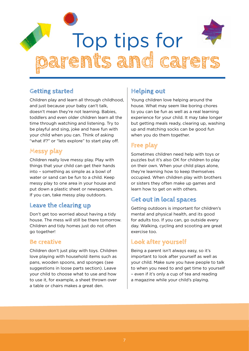

## **Getting started**

Children play and learn all through childhood, and just because your baby can't talk, doesn't mean they're not learning. Babies, toddlers and even older children learn all the time through watching and listening. Try to be playful and sing, joke and have fun with your child when you can. Think of asking "what if?" or "lets explore" to start play off.

## **Messy play**

Children really love messy play. Play with things that your child can get their hands into – something as simple as a bowl of water or sand can be fun to a child. Keep messy play to one area in your house and put down a plastic sheet or newspapers. If you can, take messy play outdoors.

## **Leave the clearing up**

Don't get too worried about having a tidy house. The mess will still be there tomorrow. Children and tidy homes just do not often go together!

## **Be creative**

Children don't just play with toys. Children love playing with household items such as pans, wooden spoons, and sponges (see suggestions in loose parts section). Leave your child to choose what to use and how to use it, for example, a sheet thrown over a table or chairs makes a great den.

## **Helping out**

Young children love helping around the house. What may seem like boring chores to you can be fun as well as a real learning experience for your child. It may take longer but getting meals ready, clearing up, washing up and matching socks can be good fun when you do them together.

## **Free play**

Sometimes children need help with toys or puzzles but it's also OK for children to play on their own. When your child plays alone, they're learning how to keep themselves occupied. When children play with brothers or sisters they often make up games and learn how to get on with others.

## **Get out in local spaces**

Getting outdoors is important for children's mental and physical health, and its good for adults too. If you can, go outside every day. Walking, cycling and scooting are great exercise too.

## **Look after yourself**

Being a parent isn't always easy, so it's important to look after yourself as well as your child. Make sure you have people to talk to when you need to and get time to yourself – even if it's only a cup of tea and reading a magazine while your child's playing.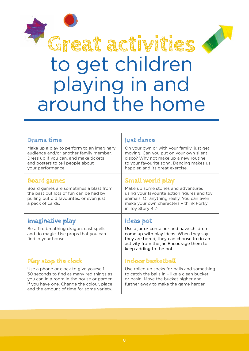

# to get children playing in and around the home

| Drama time                                                                                                                                                                            | Just dance                                                                                                                                                                                                  |  |
|---------------------------------------------------------------------------------------------------------------------------------------------------------------------------------------|-------------------------------------------------------------------------------------------------------------------------------------------------------------------------------------------------------------|--|
| Make up a play to perform to an imaginary<br>audience and/or another family member.<br>Dress up if you can, and make tickets<br>and posters to tell people about<br>your performance. | On your own or with your family, just get<br>moving. Can you put on your own silent<br>disco? Why not make up a new routine<br>to your favourite song. Dancing makes us<br>happier, and its great exercise. |  |
| <b>Board games</b>                                                                                                                                                                    | <b>Small world play</b>                                                                                                                                                                                     |  |
| Board games are sometimes a blast from<br>the past but lots of fun can be had by<br>pulling out old favourites, or even just<br>a pack of cards.                                      | Make up some stories and adventures<br>using your favourite action figures and toy<br>animals. Or anything really. You can even<br>make your own characters - think Forky<br>in Toy Story 4:)               |  |
|                                                                                                                                                                                       |                                                                                                                                                                                                             |  |
| Imaginative play                                                                                                                                                                      | Ideas pot                                                                                                                                                                                                   |  |
| Be a fire breathing dragon, cast spells<br>and do magic. Use props that you can<br>find in your house.                                                                                | Use a jar or container and have children<br>come up with play ideas. When they say<br>they are bored, they can choose to do an<br>activity from the jar. Encourage them to<br>keep adding to the pot.       |  |
| <b>Play stop the clock</b>                                                                                                                                                            | Indoor basketball                                                                                                                                                                                           |  |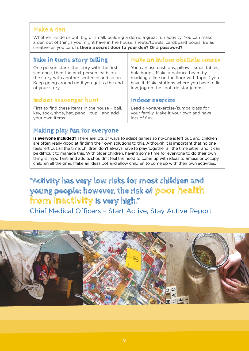## **Make a den**

Whether inside or out, big or small, building a den is a great fun activity. You can make a den out of things you might have in the house, sheets/towels, cardboard boxes. Be as creative as you can. **Is there a secret door to your den? Or a password?**

| Take in turns story telling                    | Make an indoor obstacle course               |
|------------------------------------------------|----------------------------------------------|
| One person starts the story with the first     | You can use cushions, pillows, small tables, |
| sentence, then the next person leads on        | hula hoops. Make a balance beam by           |
| the story with another sentence and so on.     | marking a line on the floor with tape if you |
| Keep going around until you get to the end     | have it. Make stations where you have to lie |
| of your story.                                 | low, jog on the spot, do star jumps          |
| Indoor scavenger hunt                          | Indoor exercise                              |
| First to find these items in the house - ball, | Lead a yoga/exercise/zumba class for         |
| key, sock, shoe, hat, pencil, cup and add      | your family. Make it your own and have       |
| vour own items.                                | lots of fun.                                 |

## **Making play fun for everyone**

**Is everyone included?** There are lots of ways to adapt games so no-one is left out, and children are often really good at finding their own solutions to this. Although it is important that no one feels left out all the time, children don't always have to play together all the time either and it can be difficult to manage this. With older children, having some time for everyone to do their own thing is important, and adults shouldn't feel the need to come up with ideas to amuse or occupy children all the time. Make an ideas pot and allow children to come up with their own activities.

## **"Activity has very low risks for most children and young people; however, the risk of poor health from inactivity is very high."**

Chief Medical Officers – Start Active, Stay Active Report

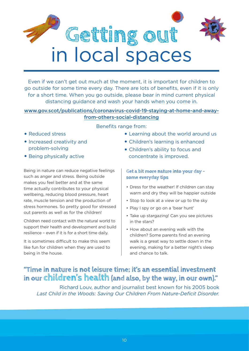

Even if we can't get out much at the moment, it is important for children to go outside for some time every day. There are lots of benefits, even if it is only for a short time. When you go outside, please bear in mind current physical distancing guidance and wash your hands when you come in.

## [www.gov.scot/publications/coronavirus-covid-19-staying-at-home-and-away](http://www.gov.scot/publications/coronavirus-covid-19-staying-at-home-and-away-from-others-social-distancin)[from-others-social-distancing](http://www.gov.scot/publications/coronavirus-covid-19-staying-at-home-and-away-from-others-social-distancin)

- Reduced stress
- Increased creativity and problem-solving
- Being physically active

Being in nature can reduce negative feelings such as anger and stress. Being outside makes you feel better and at the same time actually contributes to your physical wellbeing, reducing blood pressure, heart rate, muscle tension and the production of stress hormones. So pretty good for stressed out parents as well as for the children!

Children need contact with the natural world to support their health and development and build resilience – even if it is for a short time daily.

It is sometimes difficult to make this seem like fun for children when they are used to being in the house.

- Benefits range from:
	- Learning about the world around us
	- Children's learning is enhanced
	- Children's ability to focus and concentrate is improved.

## **Get a bit more nature into your day – some everyday tips**

- Dress for the weather! If children can stay warm and dry they will be happier outside
- Stop to look at a view or up to the sky
- Play I spy or go on a 'bear hunt'
- Take up stargazing! Can you see pictures in the stars?
- How about an evening walk with the children? Some parents find an evening walk is a great way to settle down in the evening, making for a better night's sleep and chance to talk.

## **"Time in nature is not leisure time; it's an essential investment in our children's health (and also, by the way, in our own)."**

Richard Louv, author and journalist best known for his 2005 book *Last Child in the Woods: Saving Our Children From Nature-Deficit Disorder.*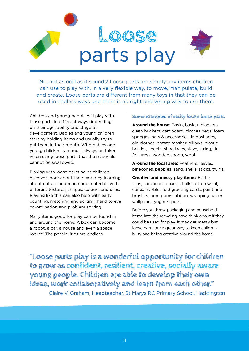

No, not as odd as it sounds! Loose parts are simply any items children can use to play with, in a very flexible way, to move, manipulate, build and create. Loose parts are different from many toys in that they can be used in endless ways and there is no right and wrong way to use them.

Children and young people will play with loose parts in different ways depending on their age, ability and stage of development. Babies and young children start by holding items and usually try to put them in their mouth. With babies and young children care must always be taken when using loose parts that the materials cannot be swallowed.

Playing with loose parts helps children discover more about their world by learning about natural and manmade materials with different textures, shapes, colours and uses. Playing like this can also help with early counting, matching and sorting, hand to eye co-ordination and problem solving.

Many items good for play can be found in and around the home. A box can become a robot, a car, a house and even a space rocket! The possibilities are endless.

### **Some examples of easily found loose parts**

**Around the house:** Basin, basket, blankets, clean buckets, cardboard, clothes pegs, foam sponges, hats & accessories, lampshades, old clothes, potato masher, pillows, plastic bottles, sheets, shoe laces, sieve, string, tin foil, trays, wooden spoon, wool.

**Around the local area:** Feathers, leaves, pinecones, pebbles, sand, shells, sticks, twigs.

**Creative and messy play items:** Bottle tops, cardboard boxes, chalk, cotton wool, corks, marbles, old greeting cards, paint and brushes, pom poms, ribbon, wrapping paper, wallpaper, yoghurt pots.

Before you throw packaging and household items into the recycling have think about if they could be used for play. It may get messy but loose parts are a great way to keep children busy and being creative around the home.

**"Loose parts play is a wonderful opportunity for children to grow as confident, resilient, creative, socially aware young people. Children are able to develop their own ideas, work collaboratively and learn from each other."** 

Claire V. Graham, Headteacher, St Marys RC Primary School, Haddington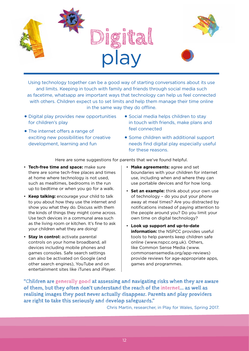

Using technology together can be a good way of starting conversations about its use and limits. Keeping in touch with family and friends through social media such as facetime, whatsapp are important ways that technology can help us feel connected with others. Children expect us to set limits and help them manage their time online in the same way they do offline.

- Digital play provides new opportunities for children's play
- The internet offers a range of exciting new possibilities for creative development, learning and fun
- Social media helps children to stay in touch with friends, make plans and feel connected
- Some children with additional support needs find digital play especially useful for these reasons.

Here are some suggestions for parents that we've found helpful.

- **Tech-free time and space:** make sure there are some tech-free places and times at home where technology is not used, such as mealtimes, bedrooms in the run up to bedtime or when you go for a walk.
- **Keep talking:** encourage your child to talk to you about how they use the internet and show you what they do. Discuss with them the kinds of things they might come across. Use tech devices in a communal area such as the living room or kitchen. It's fine to ask your children what they are doing!
- **Stay in control:** activate parental controls on your home broadband, all devices including mobile phones and games consoles. Safe search settings can also be activated on Google (and other search engines), YouTube and on entertainment sites like iTunes and iPlayer.
- **Make agreements:** agree and set boundaries with your children for internet use, including when and where they can use portable devices and for how long.
- **Set an example:** think about your own use of technology – do you put your phone away at meal times? Are you distracted by notifications instead of paying attention to the people around you? Do you limit your own time on digital technology?
- **Look up support and up-to-date information:** the NSPCC provides useful tools to help parents keep children safe online (www.nspcc.org.uk). Others, like Common Sense Media (www. commonsensemedia.org/app-reviews) provide reviews for age-appropriate apps, games and programmes.

**"Children are generally good at assessing and navigating risks when they are aware of them, but they often don't understand the reach of the internet... as well as realising images they post never actually disappear. Parents and play providers are right to take this seriously and develop safeguards."**

Chris Martin, researcher, in Play for Wales, Spring 2017.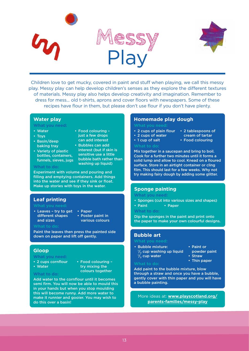



Children love to get mucky, covered in paint and stuff when playing, we call this messy play. Messy play can help develop children's senses as they explore the different textures of materials. Messy play also helps develop creativity and imagination. Remember to dress for mess… old t-shirts, aprons and cover floors with newspapers. Some of these recipes have flour in them, but please don't use flour if you don't have plenty.

## **Water play**

**What you need:**

- Water • Toys
- Basin/deep
- baking tray • Variety of plastic bottles, containers,
- Food colouring just a few drops can add interest • Bubbles can add
- funnels, sieves, jugs interest (but if skin is sensitive use a little bubble bath rather than washing up liquid)

## **What to do:**

Experiment with volume and pouring and filling and emptying containers. Add things into the water and see if they sink or float. Make up stories with toys in the water.<br>**Sponge painting** 

- Leaves try to get different shapes and sizes
	- Paper • Poster paint in

various colours

Paint the leaves then press the painted side down on paper and lift off gently.

## **Gloop**

### **What you need:**

- 2 cups cornflour
- Water
- Food colouring try mixing the colours together

## **What to do:**

Add water to the cornflour until it becomes semi firm. You will now be able to mould this in your hands but when you stop moulding this will become runny. Add more water to make it runnier and gooier. You may wish to do this over a basin!

## **Homemade play dough**

- 2 cups of plain flour
- 2 cups of water
- 1 cup of salt
- 2 tablespoons of cream of tartar
- Food colouring
- 
- 
- 

Mix together in a saucepan and bring to boil. Cook for a further two minutes until it forms a solid lump and allow to cool. Knead on a floured surface. Store in an airtight container or cling film. This should last for a few weeks. Why not

### **What you need:**

**Leaf printing Leaf printing Fig. 2.1 Sponges** (cut into various sizes and shapes)

try making fairy dough by adding some glitter.

- Paint Paper
- **What to do:**

Dip the sponges in the paint and print onto the paper to make your own colourful designs.

## **Bubble art**

- Bubble mixture:  $\frac{1}{2}$  cup washing up liquid<br> $\frac{1}{2}$  cup water  $\frac{1}{2}$  cup water
- Paint or
- powder paint
- Straw • Thin paper

### **What to do:**

Add paint to the bubble mixture, blow through a straw and once you have a bubble, gently cover with thin paper and you will have a bubble painting.

More ideas at: **[www.playscotland.org/](http://www.playscotland.org/parents-families/messy-play) [parents-families/messy-play](http://www.playscotland.org/parents-families/messy-play)**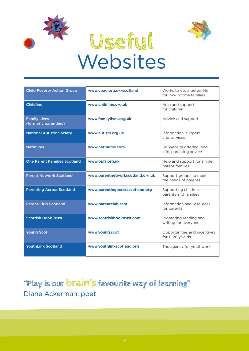



# **Useful Websites**

| <b>Child Poverty Action Group</b>            | www.cpag.org.uk/scotland         | Works to get a better life<br>for low-income families |
|----------------------------------------------|----------------------------------|-------------------------------------------------------|
| <b>Childline</b>                             | www.childline.org.uk             | Help and support<br>for children                      |
| <b>Family Lives</b><br>(formerly parentline) | www.familylives.org.uk           | Advice and support                                    |
| <b>National Autistic Society</b>             | www.autism.org.uk                | Information, support<br>and services                  |
| <b>Netmums</b>                               | www.netmums.com                  | UK website offering local<br>info, parenting advice   |
| <b>One Parent Families Scotland</b>          | www.opfs.org.uk                  | Help and support for single<br>parent families        |
| <b>Parent Network Scotland</b>               | www.parentnetworkscotland.org.uk | Support groups to meet<br>the needs of parents        |
| <b>Parenting Across Scotland</b>             | www.parentingacrossscotland.org  | Supporting children,<br>parents and families          |
| <b>Parent Club Scotland</b>                  | www.parentclub.scot              | Information and resources<br>for parents              |
| <b>Scottish Book Trust</b>                   | www.scottishbooktrust.com        | Promoting reading and<br>writing for everyone         |
| <b>Young Scot</b>                            | www.young.scot                   | Opportunities and incentives<br>for 11-26 yr olds     |
| <b>YouthLink Scotland</b>                    | www.youthlinkscotland.org        | The agency for youthwork                              |

## **"Play is our brain's favourite way of learning"**  Diane Ackerman, poet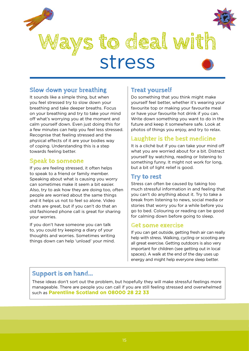

## **Slow down your breathing**

It sounds like a simple thing, but when you feel stressed try to slow down your breathing and take deeper breaths. Focus on your breathing and try to take your mind off what's worrying you at the moment and calm yourself down. Even just doing this for a few minutes can help you feel less stressed. Recognise that feeling stressed and the physical effects of it are your bodies way of coping. Understanding this is a step towards feeling better.

## **Speak to someone**

If you are feeling stressed, it often helps to speak to a friend or family member. Speaking about what is causing you worry can sometimes make it seem a bit easier. Also, try to ask how they are doing too, often people are worried about the same things and it helps us not to feel so alone. Video chats are great, but if you can't do that an old fashioned phone call is great for sharing your worries.

If you don't have someone you can talk to, you could try keeping a diary of your thoughts and worries. Sometimes writing things down can help 'unload' your mind.

## **Treat yourself**

Do something that you think might make yourself feel better, whether it's wearing your favourite top or making your favourite meal or have your favourite hot drink if you can. Write down something you want to do in the future and keep it somewhere safe. Look at photos of things you enjoy, and try to relax.

## **Laughter is the best medicine**

It is a cliché but if you can take your mind off what you are worried about for a bit. Distract yourself by watching, reading or listening to something funny. It might not work for long, but a bit of light relief is good.

## **Try to rest**

Stress can often be caused by taking too much stressful information in and feeling that you can't do anything about it. Try to take a break from listening to news, social media or stories that worry you for a while before you go to bed. Colouring or reading can be good for calming down before going to sleep.

## **Get some exercise**

If you can get outside, getting fresh air can really help with stress. Walking, cycling or scooting are all great exercise. Getting outdoors is also very important for children (see getting out in local spaces). A walk at the end of the day uses up energy and might help everyone sleep better.

## **Support is on hand...**

These ideas don't sort out the problem, but hopefully they will make stressful feelings more manageable. There are people you can call if you are still feeling stressed and overwhelmed such as **Parentline Scotland on 08000 28 22 33**